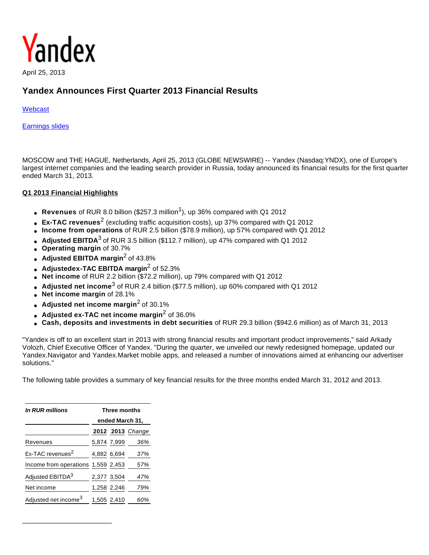

April 25, 2013

# **Yandex Announces First Quarter 2013 Financial Results**

**[Webcast](http://ir.yandex.com/eventdetail.cfm?eventid=127979)** 

[Earnings slides](http://files.shareholder.com/downloads/YNDX/2412411075x0x656725/ce535ee8-31db-454a-bb96-37cc2e2ed3e9/First%20Quarter%202013%20Financial%20Results%20Company%20Presentation)

MOSCOW and THE HAGUE, Netherlands, April 25, 2013 (GLOBE NEWSWIRE) -- Yandex (Nasdaq:YNDX), one of Europe's largest internet companies and the leading search provider in Russia, today announced its financial results for the first quarter ended March 31, 2013.

# **Q1 2013 Financial Highlights**

- Revenues of RUR 8.0 billion (\$257.3 million<sup>1</sup>), up 36% compared with Q1 2012
- Ex-TAC revenues<sup>2</sup> (excluding traffic acquisition costs), up 37% compared with Q1 2012
- **Income from operations** of RUR 2.5 billion (\$78.9 million), up 57% compared with Q1 2012
- Adjusted EBITDA<sup>3</sup> of RUR 3.5 billion (\$112.7 million), up 47% compared with Q1 2012
- **Operating margin** of 30.7%
- **Adjusted EBITDA margin<sup>2</sup> of 43.8%**
- $\bullet$  Adjustedex-TAC EBITDA margin<sup>2</sup> of 52.3%
- **Net income** of RUR 2.2 billion (\$72.2 million), up 79% compared with Q1 2012
- Adjusted net income<sup>3</sup> of RUR 2.4 billion (\$77.5 million), up 60% compared with Q1 2012
- **Net income margin** of 28.1%
- **Adjusted net income margin**2 of 30.1%
- **Adjusted ex-TAC net income margin**<sup>2</sup> of 36.0%
- **Cash, deposits and investments in debt securities** of RUR 29.3 billion (\$942.6 million) as of March 31, 2013

"Yandex is off to an excellent start in 2013 with strong financial results and important product improvements," said Arkady Volozh, Chief Executive Officer of Yandex. "During the quarter, we unveiled our newly redesigned homepage, updated our Yandex.Navigator and Yandex.Market mobile apps, and released a number of innovations aimed at enhancing our advertiser solutions."

The following table provides a summary of key financial results for the three months ended March 31, 2012 and 2013.

| <i><b>In RUR millions</b></i>      | Three months    |             |                  |  |
|------------------------------------|-----------------|-------------|------------------|--|
|                                    | ended March 31, |             |                  |  |
|                                    |                 |             | 2012 2013 Change |  |
| Revenues                           |                 | 5,874 7,999 | 36%              |  |
| Ex-TAC revenues <sup>2</sup>       |                 | 4,882 6,694 | 37%              |  |
| Income from operations 1,559 2,453 |                 |             | 57%              |  |
| Adjusted EBITDA <sup>3</sup>       |                 | 2,377 3,504 | 47%              |  |
| Net income                         |                 | 1,258 2,246 | 79%              |  |
| Adjusted net income <sup>3</sup>   |                 | 1.505 2.410 | 60%              |  |

\_\_\_\_\_\_\_\_\_\_\_\_\_\_\_\_\_\_\_\_\_\_\_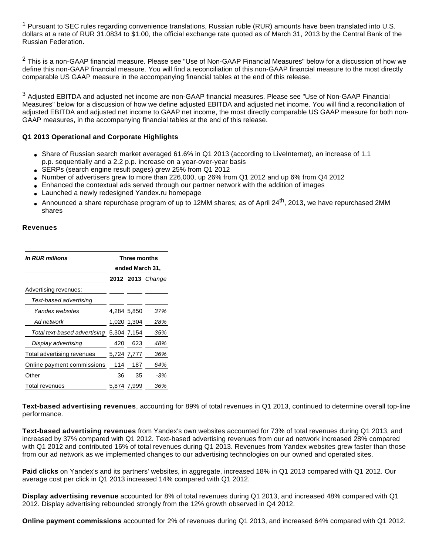<sup>1</sup> Pursuant to SEC rules regarding convenience translations, Russian ruble (RUR) amounts have been translated into U.S. dollars at a rate of RUR 31.0834 to \$1.00, the official exchange rate quoted as of March 31, 2013 by the Central Bank of the Russian Federation.

 $^2$  This is a non-GAAP financial measure. Please see "Use of Non-GAAP Financial Measures" below for a discussion of how we define this non-GAAP financial measure. You will find a reconciliation of this non-GAAP financial measure to the most directly comparable US GAAP measure in the accompanying financial tables at the end of this release.

 $^3$  Adjusted EBITDA and adjusted net income are non-GAAP financial measures. Please see "Use of Non-GAAP Financial Measures" below for a discussion of how we define adjusted EBITDA and adjusted net income. You will find a reconciliation of adjusted EBITDA and adjusted net income to GAAP net income, the most directly comparable US GAAP measure for both non-GAAP measures, in the accompanying financial tables at the end of this release.

# **Q1 2013 Operational and Corporate Highlights**

- Share of Russian search market averaged 61.6% in Q1 2013 (according to LiveInternet), an increase of 1.1 p.p. sequentially and a 2.2 p.p. increase on a year-over-year basis
- SERPs (search engine result pages) grew 25% from Q1 2012
- Number of advertisers grew to more than 226,000, up 26% from Q1 2012 and up 6% from Q4 2012
- Enhanced the contextual ads served through our partner network with the addition of images
- Launched a newly redesigned Yandex.ru homepage
- Announced a share repurchase program of up to 12MM shares; as of April 24<sup>th</sup>, 2013, we have repurchased 2MM shares

### **Revenues**

| In RUR millions              | Three months<br>ended March 31, |             |                  |
|------------------------------|---------------------------------|-------------|------------------|
|                              |                                 |             | 2012 2013 Change |
| Advertising revenues:        |                                 |             |                  |
| Text-based advertising       |                                 |             |                  |
| Yandex websites              |                                 | 4,284 5,850 | 37%              |
| Ad network                   |                                 | 1,020 1,304 | 28%              |
| Total text-based advertising |                                 | 5,304 7,154 | 35%              |
| Display advertising          | 420                             | 623         | 48%              |
| Total advertising revenues   |                                 | 5,724 7,777 | 36%              |
| Online payment commissions   | 114                             | 187         | 64%              |
| Other                        | 36                              | 35          | -3%              |
| Total revenues               |                                 | 5,874 7,999 | 36%              |

**Text-based advertising revenues**, accounting for 89% of total revenues in Q1 2013, continued to determine overall top-line performance.

**Text-based advertising revenues** from Yandex's own websites accounted for 73% of total revenues during Q1 2013, and increased by 37% compared with Q1 2012. Text-based advertising revenues from our ad network increased 28% compared with Q1 2012 and contributed 16% of total revenues during Q1 2013. Revenues from Yandex websites grew faster than those from our ad network as we implemented changes to our advertising technologies on our owned and operated sites.

**Paid clicks** on Yandex's and its partners' websites, in aggregate, increased 18% in Q1 2013 compared with Q1 2012. Our average cost per click in Q1 2013 increased 14% compared with Q1 2012.

**Display advertising revenue** accounted for 8% of total revenues during Q1 2013, and increased 48% compared with Q1 2012. Display advertising rebounded strongly from the 12% growth observed in Q4 2012.

**Online payment commissions** accounted for 2% of revenues during Q1 2013, and increased 64% compared with Q1 2012.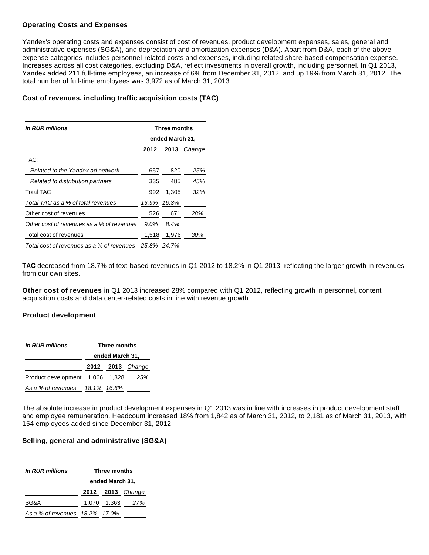# **Operating Costs and Expenses**

Yandex's operating costs and expenses consist of cost of revenues, product development expenses, sales, general and administrative expenses (SG&A), and depreciation and amortization expenses (D&A). Apart from D&A, each of the above expense categories includes personnel-related costs and expenses, including related share-based compensation expense. Increases across all cost categories, excluding D&A, reflect investments in overall growth, including personnel. In Q1 2013, Yandex added 211 full-time employees, an increase of 6% from December 31, 2012, and up 19% from March 31, 2012. The total number of full-time employees was 3,972 as of March 31, 2013.

# **Cost of revenues, including traffic acquisition costs (TAC)**

| In RUR millions                                                      | Three months    |       |        |
|----------------------------------------------------------------------|-----------------|-------|--------|
|                                                                      | ended March 31, |       |        |
|                                                                      | 2012            | 2013  | Change |
| TAC:                                                                 |                 |       |        |
| Related to the Yandex ad network                                     | 657             | 820   | 25%    |
| Related to distribution partners                                     | 335             | 485   | 45%    |
| Total TAC                                                            | 992             | 1,305 | 32%    |
| Total TAC as a % of total revenues                                   | 16.9%           | 16.3% |        |
| Other cost of revenues                                               | 526             | 671   | 28%    |
| Other cost of revenues as a % of revenues                            | $9.0\%$         | 8.4%  |        |
| Total cost of revenues                                               | 1,518           | 1,976 | 30%    |
| Total cost of revenues as a % of revenues $\,$ 25.8% $\,$ 24.7% $\,$ |                 |       |        |

**TAC** decreased from 18.7% of text-based revenues in Q1 2012 to 18.2% in Q1 2013, reflecting the larger growth in revenues from our own sites.

**Other cost of revenues** in Q1 2013 increased 28% compared with Q1 2012, reflecting growth in personnel, content acquisition costs and data center-related costs in line with revenue growth.

### **Product development**

| In RUR millions                 | Three months    |  |                  |  |
|---------------------------------|-----------------|--|------------------|--|
|                                 | ended March 31, |  |                  |  |
|                                 |                 |  | 2012 2013 Change |  |
| Product development 1,066 1,328 |                 |  | 25%              |  |
| As a % of revenues              | 18.1% 16.6%     |  |                  |  |

The absolute increase in product development expenses in Q1 2013 was in line with increases in product development staff and employee remuneration. Headcount increased 18% from 1,842 as of March 31, 2012, to 2,181 as of March 31, 2013, with 154 employees added since December 31, 2012.

### **Selling, general and administrative (SG&A)**

| In RUR millions                | Three months    |             |                  |  |
|--------------------------------|-----------------|-------------|------------------|--|
|                                | ended March 31, |             |                  |  |
|                                |                 |             | 2012 2013 Change |  |
| SG&A                           |                 | 1,070 1,363 | 27%              |  |
| As a % of revenues 18.2% 17.0% |                 |             |                  |  |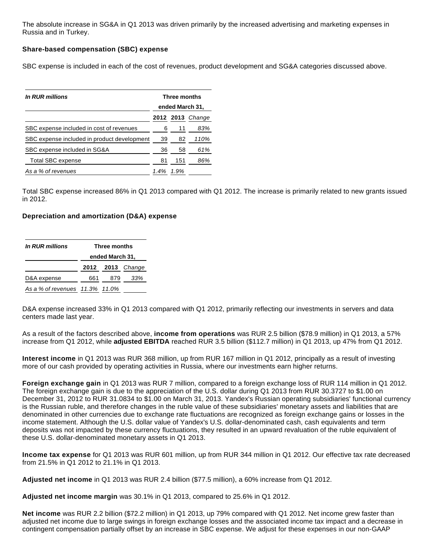The absolute increase in SG&A in Q1 2013 was driven primarily by the increased advertising and marketing expenses in Russia and in Turkey.

### **Share-based compensation (SBC) expense**

SBC expense is included in each of the cost of revenues, product development and SG&A categories discussed above.

| <i><b>In RUR millions</b></i>               | Three months    |      |                  |
|---------------------------------------------|-----------------|------|------------------|
|                                             | ended March 31, |      |                  |
|                                             |                 |      | 2012 2013 Change |
| SBC expense included in cost of revenues    | 6               | 11   | 83%              |
| SBC expense included in product development | 39              | 82   | 110%             |
| SBC expense included in SG&A                | 36              | 58   | 61%              |
| <b>Total SBC expense</b>                    | 81              | 151  | 86%              |
| As a % of revenues                          | $1.4\%$         | 1.9% |                  |

Total SBC expense increased 86% in Q1 2013 compared with Q1 2012. The increase is primarily related to new grants issued in 2012.

# **Depreciation and amortization (D&A) expense**

| In RUR millions                | Three months    |     |                  |  |
|--------------------------------|-----------------|-----|------------------|--|
|                                | ended March 31, |     |                  |  |
|                                |                 |     | 2012 2013 Change |  |
| D&A expense                    | 661             | 879 | 33%              |  |
| As a % of revenues 11.3% 11.0% |                 |     |                  |  |

D&A expense increased 33% in Q1 2013 compared with Q1 2012, primarily reflecting our investments in servers and data centers made last year.

As a result of the factors described above, **income from operations** was RUR 2.5 billion (\$78.9 million) in Q1 2013, a 57% increase from Q1 2012, while **adjusted EBITDA** reached RUR 3.5 billion (\$112.7 million) in Q1 2013, up 47% from Q1 2012.

**Interest income** in Q1 2013 was RUR 368 million, up from RUR 167 million in Q1 2012, principally as a result of investing more of our cash provided by operating activities in Russia, where our investments earn higher returns.

**Foreign exchange gain** in Q1 2013 was RUR 7 million, compared to a foreign exchange loss of RUR 114 million in Q1 2012. The foreign exchange gain is due to the appreciation of the U.S. dollar during Q1 2013 from RUR 30.3727 to \$1.00 on December 31, 2012 to RUR 31.0834 to \$1.00 on March 31, 2013. Yandex's Russian operating subsidiaries' functional currency is the Russian ruble, and therefore changes in the ruble value of these subsidiaries' monetary assets and liabilities that are denominated in other currencies due to exchange rate fluctuations are recognized as foreign exchange gains or losses in the income statement. Although the U.S. dollar value of Yandex's U.S. dollar-denominated cash, cash equivalents and term deposits was not impacted by these currency fluctuations, they resulted in an upward revaluation of the ruble equivalent of these U.S. dollar-denominated monetary assets in Q1 2013.

**Income tax expense** for Q1 2013 was RUR 601 million, up from RUR 344 million in Q1 2012. Our effective tax rate decreased from 21.5% in Q1 2012 to 21.1% in Q1 2013.

**Adjusted net income** in Q1 2013 was RUR 2.4 billion (\$77.5 million), a 60% increase from Q1 2012.

**Adjusted net income margin** was 30.1% in Q1 2013, compared to 25.6% in Q1 2012.

**Net income** was RUR 2.2 billion (\$72.2 million) in Q1 2013, up 79% compared with Q1 2012. Net income grew faster than adjusted net income due to large swings in foreign exchange losses and the associated income tax impact and a decrease in contingent compensation partially offset by an increase in SBC expense. We adjust for these expenses in our non-GAAP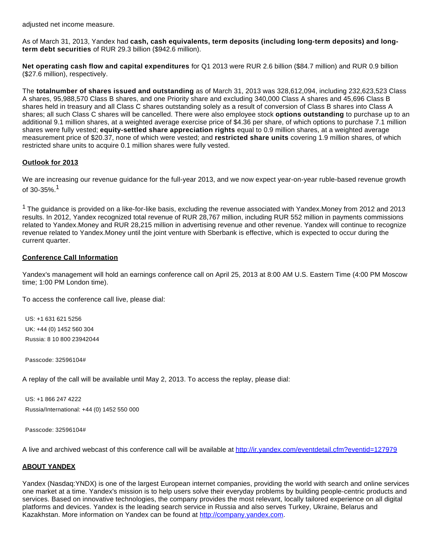adjusted net income measure.

As of March 31, 2013, Yandex had **cash, cash equivalents, term deposits (including long-term deposits) and longterm debt securities** of RUR 29.3 billion (\$942.6 million).

**Net operating cash flow and capital expenditures** for Q1 2013 were RUR 2.6 billion (\$84.7 million) and RUR 0.9 billion (\$27.6 million), respectively.

The **totalnumber of shares issued and outstanding** as of March 31, 2013 was 328,612,094, including 232,623,523 Class A shares, 95,988,570 Class B shares, and one Priority share and excluding 340,000 Class A shares and 45,696 Class B shares held in treasury and all Class C shares outstanding solely as a result of conversion of Class B shares into Class A shares; all such Class C shares will be cancelled. There were also employee stock **options outstanding** to purchase up to an additional 9.1 million shares, at a weighted average exercise price of \$4.36 per share, of which options to purchase 7.1 million shares were fully vested; **equity-settled share appreciation rights** equal to 0.9 million shares, at a weighted average measurement price of \$20.37, none of which were vested; and **restricted share units** covering 1.9 million shares, of which restricted share units to acquire 0.1 million shares were fully vested.

# **Outlook for 2013**

We are increasing our revenue guidance for the full-year 2013, and we now expect year-on-year ruble-based revenue growth of 30-35%.<sup>1</sup>

 $1$  The guidance is provided on a like-for-like basis, excluding the revenue associated with Yandex.Money from 2012 and 2013 results. In 2012, Yandex recognized total revenue of RUR 28,767 million, including RUR 552 million in payments commissions related to Yandex.Money and RUR 28,215 million in advertising revenue and other revenue. Yandex will continue to recognize revenue related to Yandex.Money until the joint venture with Sberbank is effective, which is expected to occur during the current quarter.

# **Conference Call Information**

Yandex's management will hold an earnings conference call on April 25, 2013 at 8:00 AM U.S. Eastern Time (4:00 PM Moscow time; 1:00 PM London time).

To access the conference call live, please dial:

US: +1 631 621 5256 UK: +44 (0) 1452 560 304 Russia: 8 10 800 23942044

Passcode: 32596104#

A replay of the call will be available until May 2, 2013. To access the replay, please dial:

US: +1 866 247 4222 Russia/International: +44 (0) 1452 550 000

Passcode: 32596104#

A live and archived webcast of this conference call will be available at <http://ir.yandex.com/eventdetail.cfm?eventid=127979>

### **ABOUT YANDEX**

Yandex (Nasdaq:YNDX) is one of the largest European internet companies, providing the world with search and online services one market at a time. Yandex's mission is to help users solve their everyday problems by building people-centric products and services. Based on innovative technologies, the company provides the most relevant, locally tailored experience on all digital platforms and devices. Yandex is the leading search service in Russia and also serves Turkey, Ukraine, Belarus and Kazakhstan. More information on Yandex can be found at [http://company.yandex.com.](http://company.yandex.com/)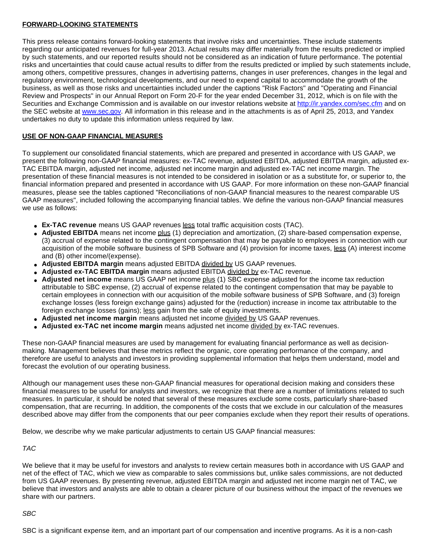# **FORWARD-LOOKING STATEMENTS**

This press release contains forward-looking statements that involve risks and uncertainties. These include statements regarding our anticipated revenues for full-year 2013. Actual results may differ materially from the results predicted or implied by such statements, and our reported results should not be considered as an indication of future performance. The potential risks and uncertainties that could cause actual results to differ from the results predicted or implied by such statements include, among others, competitive pressures, changes in advertising patterns, changes in user preferences, changes in the legal and regulatory environment, technological developments, and our need to expend capital to accommodate the growth of the business, as well as those risks and uncertainties included under the captions "Risk Factors" and "Operating and Financial Review and Prospects" in our Annual Report on Form 20-F for the year ended December 31, 2012, which is on file with the Securities and Exchange Commission and is available on our investor relations website at <http://ir.yandex.com/sec.cfm> and on the SEC website at [www.sec.gov.](http://www.sec.gov/) All information in this release and in the attachments is as of April 25, 2013, and Yandex undertakes no duty to update this information unless required by law.

# **USE OF NON-GAAP FINANCIAL MEASURES**

To supplement our consolidated financial statements, which are prepared and presented in accordance with US GAAP, we present the following non-GAAP financial measures: ex-TAC revenue, adjusted EBITDA, adjusted EBITDA margin, adjusted ex-TAC EBITDA margin, adjusted net income, adjusted net income margin and adjusted ex-TAC net income margin. The presentation of these financial measures is not intended to be considered in isolation or as a substitute for, or superior to, the financial information prepared and presented in accordance with US GAAP. For more information on these non-GAAP financial measures, please see the tables captioned "Reconciliations of non-GAAP financial measures to the nearest comparable US GAAP measures", included following the accompanying financial tables. We define the various non-GAAP financial measures we use as follows:

- **Ex-TAC revenue** means US GAAP revenues less total traffic acquisition costs (TAC).
- Adjusted EBITDA means net income plus (1) depreciation and amortization, (2) share-based compensation expense, (3) accrual of expense related to the contingent compensation that may be payable to employees in connection with our acquisition of the mobile software business of SPB Software and (4) provision for income taxes, less (A) interest income and (B) other income/(expense).
- **Adjusted EBITDA margin** means adjusted EBITDA divided by US GAAP revenues.
- **Adjusted ex-TAC EBITDA margin** means adjusted EBITDA divided by ex-TAC revenue.
- **Adjusted net income** means US GAAP net income plus (1) SBC expense adjusted for the income tax reduction attributable to SBC expense, (2) accrual of expense related to the contingent compensation that may be payable to certain employees in connection with our acquisition of the mobile software business of SPB Software, and (3) foreign exchange losses (less foreign exchange gains) adjusted for the (reduction) increase in income tax attributable to the foreign exchange losses (gains); less gain from the sale of equity investments.
- **Adjusted net income margin** means adjusted net income divided by US GAAP revenues.
- **Adjusted ex-TAC net income margin** means adjusted net income divided by ex-TAC revenues.

These non-GAAP financial measures are used by management for evaluating financial performance as well as decisionmaking. Management believes that these metrics reflect the organic, core operating performance of the company, and therefore are useful to analysts and investors in providing supplemental information that helps them understand, model and forecast the evolution of our operating business.

Although our management uses these non-GAAP financial measures for operational decision making and considers these financial measures to be useful for analysts and investors, we recognize that there are a number of limitations related to such measures. In particular, it should be noted that several of these measures exclude some costs, particularly share-based compensation, that are recurring. In addition, the components of the costs that we exclude in our calculation of the measures described above may differ from the components that our peer companies exclude when they report their results of operations.

Below, we describe why we make particular adjustments to certain US GAAP financial measures:

### TAC

We believe that it may be useful for investors and analysts to review certain measures both in accordance with US GAAP and net of the effect of TAC, which we view as comparable to sales commissions but, unlike sales commissions, are not deducted from US GAAP revenues. By presenting revenue, adjusted EBITDA margin and adjusted net income margin net of TAC, we believe that investors and analysts are able to obtain a clearer picture of our business without the impact of the revenues we share with our partners.

### SBC

SBC is a significant expense item, and an important part of our compensation and incentive programs. As it is a non-cash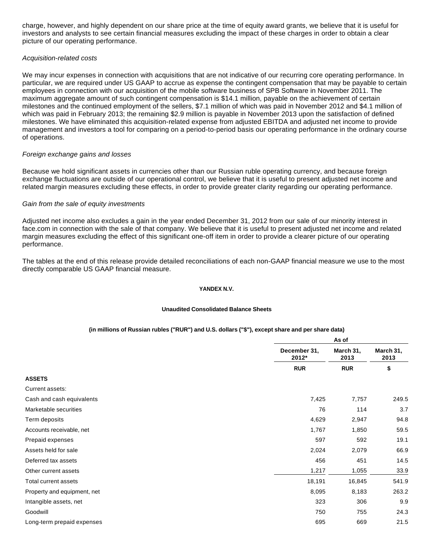charge, however, and highly dependent on our share price at the time of equity award grants, we believe that it is useful for investors and analysts to see certain financial measures excluding the impact of these charges in order to obtain a clear picture of our operating performance.

#### Acquisition-related costs

We may incur expenses in connection with acquisitions that are not indicative of our recurring core operating performance. In particular, we are required under US GAAP to accrue as expense the contingent compensation that may be payable to certain employees in connection with our acquisition of the mobile software business of SPB Software in November 2011. The maximum aggregate amount of such contingent compensation is \$14.1 million, payable on the achievement of certain milestones and the continued employment of the sellers, \$7.1 million of which was paid in November 2012 and \$4.1 million of which was paid in February 2013; the remaining \$2.9 million is payable in November 2013 upon the satisfaction of defined milestones. We have eliminated this acquisition-related expense from adjusted EBITDA and adjusted net income to provide management and investors a tool for comparing on a period-to-period basis our operating performance in the ordinary course of operations.

#### Foreign exchange gains and losses

Because we hold significant assets in currencies other than our Russian ruble operating currency, and because foreign exchange fluctuations are outside of our operational control, we believe that it is useful to present adjusted net income and related margin measures excluding these effects, in order to provide greater clarity regarding our operating performance.

#### Gain from the sale of equity investments

Adjusted net income also excludes a gain in the year ended December 31, 2012 from our sale of our minority interest in face.com in connection with the sale of that company. We believe that it is useful to present adjusted net income and related margin measures excluding the effect of this significant one-off item in order to provide a clearer picture of our operating performance.

The tables at the end of this release provide detailed reconciliations of each non-GAAP financial measure we use to the most directly comparable US GAAP financial measure.

#### **YANDEX N.V.**

#### **Unaudited Consolidated Balance Sheets**

### **(in millions of Russian rubles ("RUR") and U.S. dollars ("\$"), except share and per share data)**

|                             | As of                 |                   |                   |  |
|-----------------------------|-----------------------|-------------------|-------------------|--|
|                             | December 31,<br>2012* | March 31,<br>2013 | March 31,<br>2013 |  |
|                             | <b>RUR</b>            | <b>RUR</b>        | \$                |  |
| <b>ASSETS</b>               |                       |                   |                   |  |
| Current assets:             |                       |                   |                   |  |
| Cash and cash equivalents   | 7,425                 | 7,757             | 249.5             |  |
| Marketable securities       | 76                    | 114               | 3.7               |  |
| Term deposits               | 4,629                 | 2,947             | 94.8              |  |
| Accounts receivable, net    | 1,767                 | 1,850             | 59.5              |  |
| Prepaid expenses            | 597                   | 592               | 19.1              |  |
| Assets held for sale        | 2,024                 | 2,079             | 66.9              |  |
| Deferred tax assets         | 456                   | 451               | 14.5              |  |
| Other current assets        | 1,217                 | 1,055             | 33.9              |  |
| Total current assets        | 18,191                | 16,845            | 541.9             |  |
| Property and equipment, net | 8,095                 | 8,183             | 263.2             |  |
| Intangible assets, net      | 323                   | 306               | 9.9               |  |
| Goodwill                    | 750                   | 755               | 24.3              |  |
| Long-term prepaid expenses  | 695                   | 669               | 21.5              |  |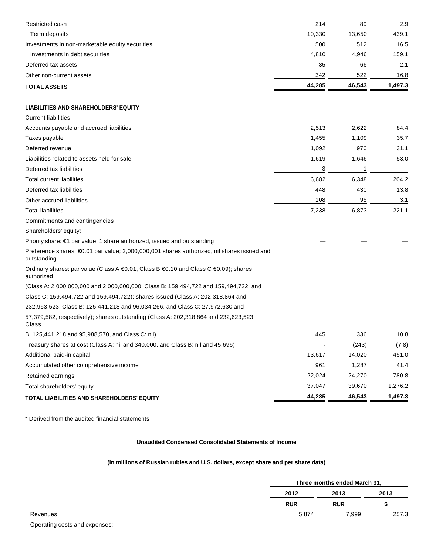| Restricted cash                                                                                           | 214    | 89     | 2.9                      |
|-----------------------------------------------------------------------------------------------------------|--------|--------|--------------------------|
| Term deposits                                                                                             | 10,330 | 13,650 | 439.1                    |
| Investments in non-marketable equity securities                                                           | 500    | 512    | 16.5                     |
| Investments in debt securities                                                                            | 4,810  | 4,946  | 159.1                    |
| Deferred tax assets                                                                                       | 35     | 66     | 2.1                      |
| Other non-current assets                                                                                  | 342    | 522    | 16.8                     |
| <b>TOTAL ASSETS</b>                                                                                       | 44,285 | 46,543 | 1,497.3                  |
| <b>LIABILITIES AND SHAREHOLDERS' EQUITY</b>                                                               |        |        |                          |
| <b>Current liabilities:</b>                                                                               |        |        |                          |
| Accounts payable and accrued liabilities                                                                  | 2,513  | 2,622  | 84.4                     |
| Taxes payable                                                                                             | 1,455  | 1,109  | 35.7                     |
| Deferred revenue                                                                                          | 1,092  | 970    | 31.1                     |
| Liabilities related to assets held for sale                                                               | 1,619  | 1,646  | 53.0                     |
| Deferred tax liabilities                                                                                  | 3      | 1      | $\overline{\phantom{a}}$ |
| <b>Total current liabilities</b>                                                                          | 6,682  | 6,348  | 204.2                    |
| Deferred tax liabilities                                                                                  | 448    | 430    | 13.8                     |
| Other accrued liabilities                                                                                 | 108    | 95     | 3.1                      |
| <b>Total liabilities</b>                                                                                  | 7,238  | 6,873  | 221.1                    |
| Commitments and contingencies                                                                             |        |        |                          |
| Shareholders' equity:                                                                                     |        |        |                          |
| Priority share: €1 par value; 1 share authorized, issued and outstanding                                  |        |        |                          |
| Preference shares: €0.01 par value; 2,000,000,001 shares authorized, nil shares issued and<br>outstanding |        |        |                          |
| Ordinary shares: par value (Class A €0.01, Class B €0.10 and Class C €0.09); shares<br>authorized         |        |        |                          |
| (Class A: 2,000,000,000 and 2,000,000,000, Class B: 159,494,722 and 159,494,722, and                      |        |        |                          |
| Class C: 159,494,722 and 159,494,722); shares issued (Class A: 202,318,864 and                            |        |        |                          |
| 232,963,523, Class B: 125,441,218 and 96,034,266, and Class C: 27,972,630 and                             |        |        |                          |
| 57,379,582, respectively); shares outstanding (Class A: 202,318,864 and 232,623,523,<br>Class             |        |        |                          |
| B: 125,441,218 and 95,988,570, and Class C: nil)                                                          | 445    | 336    | 10.8                     |
| Treasury shares at cost (Class A: nil and 340,000, and Class B: nil and 45,696)                           |        | (243)  | (7.8)                    |
| Additional paid-in capital                                                                                | 13,617 | 14,020 | 451.0                    |
| Accumulated other comprehensive income                                                                    | 961    | 1,287  | 41.4                     |
| Retained earnings                                                                                         | 22,024 | 24,270 | 780.8                    |
| Total shareholders' equity                                                                                | 37,047 | 39,670 | 1,276.2                  |
| TOTAL LIABILITIES AND SHAREHOLDERS' EQUITY                                                                | 44,285 | 46,543 | 1,497.3                  |
|                                                                                                           |        |        |                          |

\* Derived from the audited financial statements

#### **Unaudited Condensed Consolidated Statements of Income**

# **(in millions of Russian rubles and U.S. dollars, except share and per share data)**

|              |                          | Three months ended March 31, |       |  |
|--------------|--------------------------|------------------------------|-------|--|
| 2012<br>2013 |                          |                              | 2013  |  |
|              | <b>RUR</b><br><b>RUR</b> |                              |       |  |
|              | 5,874                    | 7,999                        | 257.3 |  |
|              |                          |                              |       |  |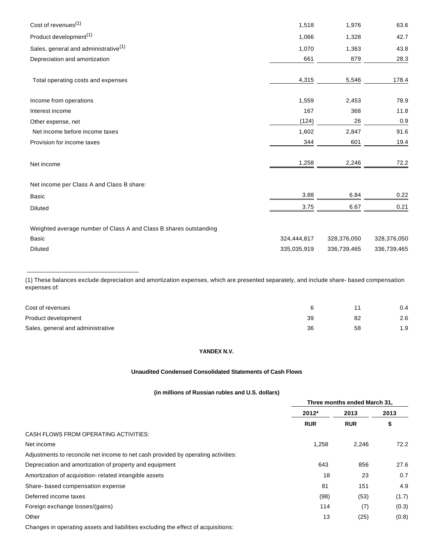| Cost of revenues <sup>(1)</sup>                                   | 1,518       | 1,976       | 63.6        |
|-------------------------------------------------------------------|-------------|-------------|-------------|
| Product development <sup>(1)</sup>                                | 1,066       | 1,328       | 42.7        |
| Sales, general and administrative <sup>(1)</sup>                  | 1,070       | 1,363       | 43.8        |
| Depreciation and amortization                                     | 661         | 879         | 28.3        |
| Total operating costs and expenses                                | 4,315       | 5,546       | 178.4       |
| Income from operations                                            | 1,559       | 2,453       | 78.9        |
| Interest income                                                   | 167         | 368         | 11.8        |
| Other expense, net                                                | (124)       | 26          | 0.9         |
| Net income before income taxes                                    | 1,602       | 2,847       | 91.6        |
| Provision for income taxes                                        | 344         | 601         | 19.4        |
| Net income                                                        | 1,258       | 2,246       | 72.2        |
| Net income per Class A and Class B share:                         |             |             |             |
| <b>Basic</b>                                                      | 3.88        | 6.84        | 0.22        |
| <b>Diluted</b>                                                    | 3.75        | 6.67        | 0.21        |
| Weighted average number of Class A and Class B shares outstanding |             |             |             |
| <b>Basic</b>                                                      | 324,444,817 | 328,376,050 | 328,376,050 |
| <b>Diluted</b>                                                    | 335,035,919 | 336,739,465 | 336,739,465 |

(1) These balances exclude depreciation and amortization expenses, which are presented separately, and include share-based compensation expenses of:

| Cost of revenues                  |    |    | 0.4 |
|-----------------------------------|----|----|-----|
| Product development               | 39 |    | 2.6 |
| Sales, general and administrative | 36 | 58 | 1.9 |

### **YANDEX N.V.**

#### **Unaudited Condensed Consolidated Statements of Cash Flows**

#### **(in millions of Russian rubles and U.S. dollars)**

|                                                                                   | Three months ended March 31. |            |       |  |
|-----------------------------------------------------------------------------------|------------------------------|------------|-------|--|
|                                                                                   | 2012*                        | 2013       | 2013  |  |
|                                                                                   | <b>RUR</b>                   | <b>RUR</b> | \$    |  |
| CASH FLOWS FROM OPERATING ACTIVITIES:                                             |                              |            |       |  |
| Net income                                                                        | 1.258                        | 2,246      | 72.2  |  |
| Adjustments to reconcile net income to net cash provided by operating activities: |                              |            |       |  |
| Depreciation and amortization of property and equipment                           | 643                          | 856        | 27.6  |  |
| Amortization of acquisition-related intangible assets                             | 18                           | 23         | 0.7   |  |
| Share-based compensation expense                                                  | 81                           | 151        | 4.9   |  |
| Deferred income taxes                                                             | (98)                         | (53)       | (1.7) |  |
| Foreign exchange losses/(gains)                                                   | 114                          | (7)        | (0.3) |  |
| Other                                                                             | 13                           | (25)       | (0.8) |  |

Changes in operating assets and liabilities excluding the effect of acquisitions:

\_\_\_\_\_\_\_\_\_\_\_\_\_\_\_\_\_\_\_\_\_\_\_\_\_\_\_\_\_\_\_\_\_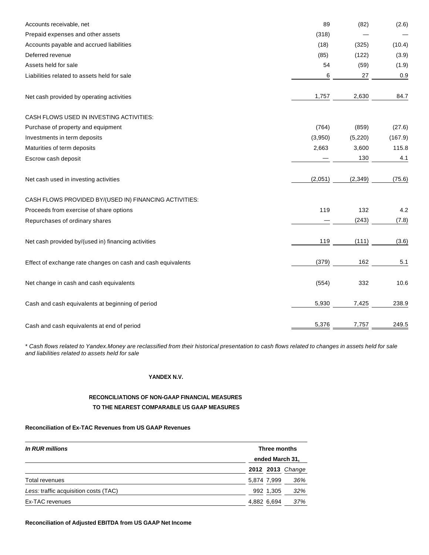| Accounts receivable, net                                     | 89      | (82)     | (2.6)   |
|--------------------------------------------------------------|---------|----------|---------|
| Prepaid expenses and other assets                            | (318)   |          |         |
| Accounts payable and accrued liabilities                     | (18)    | (325)    | (10.4)  |
| Deferred revenue                                             | (85)    | (122)    | (3.9)   |
| Assets held for sale                                         | 54      | (59)     | (1.9)   |
| Liabilities related to assets held for sale                  | 6       | 27       | 0.9     |
| Net cash provided by operating activities                    | 1,757   | 2,630    | 84.7    |
| CASH FLOWS USED IN INVESTING ACTIVITIES:                     |         |          |         |
| Purchase of property and equipment                           | (764)   | (859)    | (27.6)  |
| Investments in term deposits                                 | (3,950) | (5,220)  | (167.9) |
| Maturities of term deposits                                  | 2,663   | 3,600    | 115.8   |
| Escrow cash deposit                                          |         | 130      | 4.1     |
| Net cash used in investing activities                        | (2,051) | (2, 349) | (75.6)  |
| CASH FLOWS PROVIDED BY/(USED IN) FINANCING ACTIVITIES:       |         |          |         |
| Proceeds from exercise of share options                      | 119     | 132      | 4.2     |
| Repurchases of ordinary shares                               |         | (243)    | (7.8)   |
| Net cash provided by/(used in) financing activities          | 119     | (111)    | (3.6)   |
| Effect of exchange rate changes on cash and cash equivalents | (379)   | 162      | 5.1     |
| Net change in cash and cash equivalents                      | (554)   | 332      | 10.6    |
| Cash and cash equivalents at beginning of period             | 5,930   | 7,425    | 238.9   |
| Cash and cash equivalents at end of period                   | 5,376   | 7,757    | 249.5   |

\* Cash flows related to Yandex.Money are reclassified from their historical presentation to cash flows related to changes in assets held for sale and liabilities related to assets held for sale

#### **YANDEX N.V.**

# **RECONCILIATIONS OF NON-GAAP FINANCIAL MEASURES TO THE NEAREST COMPARABLE US GAAP MEASURES**

#### **Reconciliation of Ex-TAC Revenues from US GAAP Revenues**

| In RUR millions                       |                  | Three months<br>ended March 31, |  |  |
|---------------------------------------|------------------|---------------------------------|--|--|
|                                       | 2012 2013 Change |                                 |  |  |
| Total revenues                        | 5,874 7,999      | 36%                             |  |  |
| Less: traffic acquisition costs (TAC) | 992 1,305        | 32%                             |  |  |
| Ex-TAC revenues                       | 4,882 6,694      | 37%                             |  |  |

#### **Reconciliation of Adjusted EBITDA from US GAAP Net Income**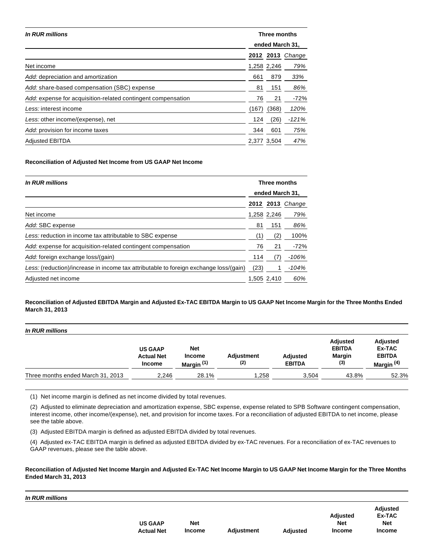| In RUR millions                                              |       | Three months<br>ended March 31, |                  |  |
|--------------------------------------------------------------|-------|---------------------------------|------------------|--|
|                                                              |       |                                 | 2012 2013 Change |  |
| Net income                                                   |       | 1,258 2,246                     | 79%              |  |
| Add: depreciation and amortization                           | 661   | 879                             | 33%              |  |
| Add: share-based compensation (SBC) expense                  | 81    | 151                             | 86%              |  |
| Add: expense for acquisition-related contingent compensation | 76    | 21                              | $-72%$           |  |
| Less: interest income                                        | (167) | (368)                           | 120%             |  |
| Less: other income/(expense), net                            | 124   | (26)                            | $-121%$          |  |
| Add: provision for income taxes                              | 344   | 601                             | 75%              |  |
| <b>Adjusted EBITDA</b>                                       |       | 2,377 3,504                     | 47%              |  |

#### **Reconciliation of Adjusted Net Income from US GAAP Net Income**

| In RUR millions                                                                       |      | Three months<br>ended March 31. |                  |  |
|---------------------------------------------------------------------------------------|------|---------------------------------|------------------|--|
|                                                                                       |      |                                 | 2012 2013 Change |  |
| Net income                                                                            |      | 1,258 2,246                     | 79%              |  |
| Add: SBC expense                                                                      | 81   | 151                             | 86%              |  |
| Less: reduction in income tax attributable to SBC expense                             |      | (2)                             | 100%             |  |
| Add: expense for acquisition-related contingent compensation                          | 76   | 21                              | $-72%$           |  |
| Add: foreign exchange loss/(gain)                                                     |      | (7)                             | -106%            |  |
| Less: (reduction)/increase in income tax attributable to foreign exchange loss/(gain) | (23) |                                 | $-104%$          |  |
| Adjusted net income                                                                   |      | 1,505 2,410                     | 60%              |  |

**Reconciliation of Adjusted EBITDA Margin and Adjusted Ex-TAC EBITDA Margin to US GAAP Net Income Margin for the Three Months Ended March 31, 2013**

| In RUR millions                   |                                                      |                                               |                   |                                  |                                            |                                                              |
|-----------------------------------|------------------------------------------------------|-----------------------------------------------|-------------------|----------------------------------|--------------------------------------------|--------------------------------------------------------------|
|                                   | <b>US GAAP</b><br><b>Actual Net</b><br><b>Income</b> | <b>Net</b><br>Income<br>Margin <sup>(1)</sup> | Adjustment<br>(2) | <b>Adjusted</b><br><b>EBITDA</b> | Adjusted<br><b>EBITDA</b><br>Margin<br>(3) | Adjusted<br>Ex-TAC<br><b>EBITDA</b><br>Margin <sup>(4)</sup> |
| Three months ended March 31, 2013 | 2.246                                                | 28.1%                                         | .258              | 3.504                            | 43.8%                                      | 52.3%                                                        |

(1) Net income margin is defined as net income divided by total revenues.

(2) Adjusted to eliminate depreciation and amortization expense, SBC expense, expense related to SPB Software contingent compensation, interest income, other income/(expense), net, and provision for income taxes. For a reconciliation of adjusted EBITDA to net income, please see the table above.

(3) Adjusted EBITDA margin is defined as adjusted EBITDA divided by total revenues.

(4) Adjusted ex-TAC EBITDA margin is defined as adjusted EBITDA divided by ex-TAC revenues. For a reconciliation of ex-TAC revenues to GAAP revenues, please see the table above.

#### **Reconciliation of Adjusted Net Income Margin and Adjusted Ex-TAC Net Income Margin to US GAAP Net Income Margin for the Three Months Ended March 31, 2013**

**In RUR millions US GAAP Actual Net Net Income Adjustment Adjusted Adjusted Net Income Adjusted Ex-TAC Net Income**